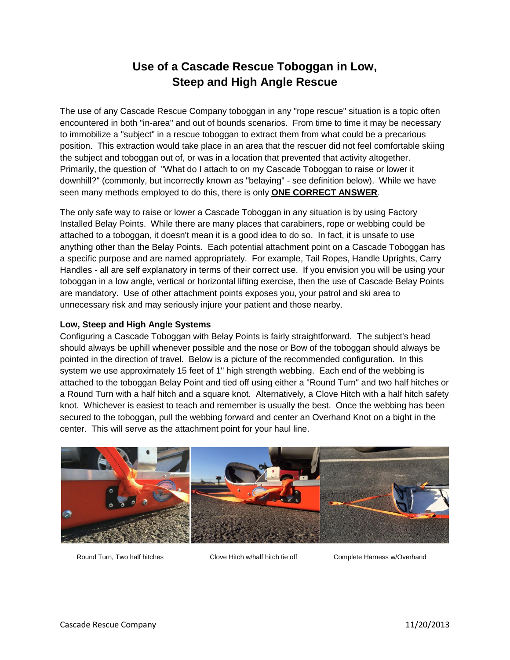# **Use of a Cascade Rescue Toboggan in Low, Steep and High Angle Rescue**

The use of any Cascade Rescue Company toboggan in any "rope rescue" situation is a topic often encountered in both "in-area" and out of bounds scenarios. From time to time it may be necessary to immobilize a "subject" in a rescue toboggan to extract them from what could be a precarious position. This extraction would take place in an area that the rescuer did not feel comfortable skiing the subject and toboggan out of, or was in a location that prevented that activity altogether. Primarily, the question of "What do I attach to on my Cascade Toboggan to raise or lower it downhill?" (commonly, but incorrectly known as "belaying" - see definition below). While we have seen many methods employed to do this, there is only **ONE CORRECT ANSWER**.

The only safe way to raise or lower a Cascade Toboggan in any situation is by using Factory Installed Belay Points. While there are many places that carabiners, rope or webbing could be attached to a toboggan, it doesn't mean it is a good idea to do so. In fact, it is unsafe to use anything other than the Belay Points. Each potential attachment point on a Cascade Toboggan has a specific purpose and are named appropriately. For example, Tail Ropes, Handle Uprights, Carry Handles - all are self explanatory in terms of their correct use. If you envision you will be using your toboggan in a low angle, vertical or horizontal lifting exercise, then the use of Cascade Belay Points are mandatory. Use of other attachment points exposes you, your patrol and ski area to unnecessary risk and may seriously injure your patient and those nearby.

## **Low, Steep and High Angle Systems**

Configuring a Cascade Toboggan with Belay Points is fairly straightforward. The subject's head should always be uphill whenever possible and the nose or Bow of the toboggan should always be pointed in the direction of travel. Below is a picture of the recommended configuration. In this system we use approximately 15 feet of 1" high strength webbing. Each end of the webbing is attached to the toboggan Belay Point and tied off using either a "Round Turn" and two half hitches or a Round Turn with a half hitch and a square knot. Alternatively, a Clove Hitch with a half hitch safety knot. Whichever is easiest to teach and remember is usually the best. Once the webbing has been secured to the toboggan, pull the webbing forward and center an Overhand Knot on a bight in the center. This will serve as the attachment point for your haul line.



Round Turn, Two half hitches Clove Hitch w/half hitch tie off Complete Harness w/Overhand